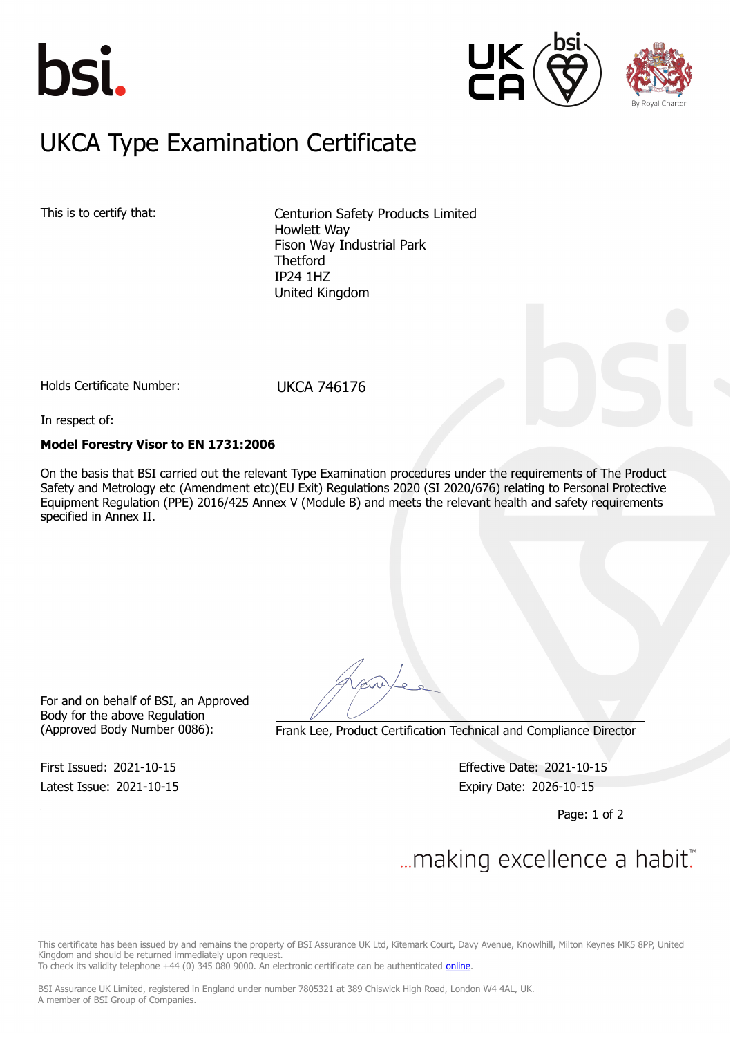





## $U/CA$   $\Gamma$ <sub>ing</sub> Examination  $\Gamma$ UKCA Type Examination Certificate

This is to certify that: Centurion Safety Products Limited Howlett Way Fison Way Industrial Park **Thetford** IP24 1HZ United Kingdom

Holds Certificate Number: UKCA 746176

In respect of:

## **Model Forestry Visor to EN 1731:2006**

On the basis that BSI carried out the relevant Type Examination procedures under the requirements of The Product Safety and Metrology etc (Amendment etc)(EU Exit) Regulations 2020 (SI 2020/676) relating to Personal Protective Equipment Regulation (PPE) 2016/425 Annex V (Module B) and meets the relevant health and safety requirements specified in Annex II.

For and on behalf of BSI, an Approved Body for the above Regulation

(Approved Body Number 0086): Frank Lee, Product Certification Technical and Compliance Director

Latest Issue: 2021-10-15 Expiry Date: 2026-10-15

First Issued: 2021-10-15 Effective Date: 2021-10-15

Page: 1 of 2

# ... making excellence a habit.

This certificate has been issued by and remains the property of BSI Assurance UK Ltd, Kitemark Court, Davy Avenue, Knowlhill, Milton Keynes MK5 8PP, United Kingdom and should be returned immediately upon request.

To check its validity telephone +44 (0) 345 080 9000. An electronic certificate can be authenticated [online](https://pgplus.bsigroup.com/CertificateValidation/CertificateValidator.aspx?CertificateNumber=UKCA+746176&ReIssueDate=15%2f10%2f2021&Template=uk).

BSI Assurance UK Limited, registered in England under number 7805321 at 389 Chiswick High Road, London W4 4AL, UK. A member of BSI Group of Companies.